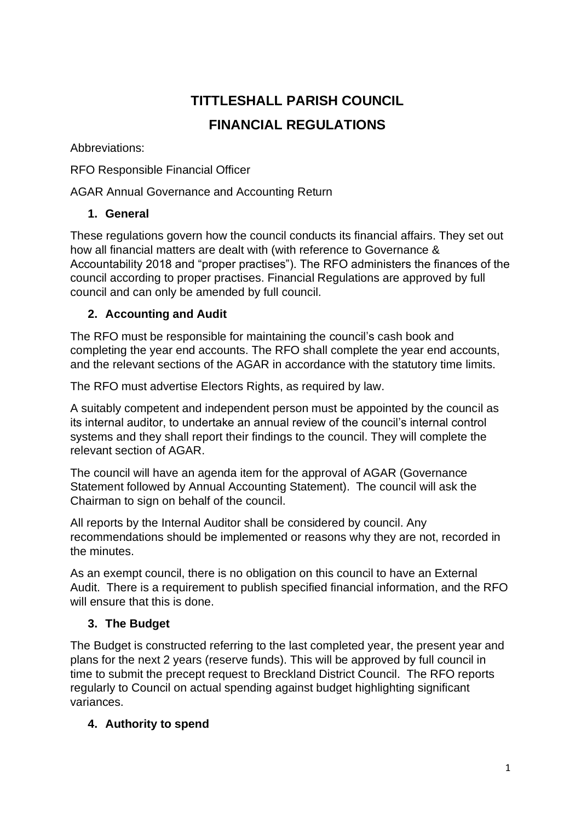# **TITTLESHALL PARISH COUNCIL FINANCIAL REGULATIONS**

Abbreviations:

RFO Responsible Financial Officer

AGAR Annual Governance and Accounting Return

## **1. General**

These regulations govern how the council conducts its financial affairs. They set out how all financial matters are dealt with (with reference to Governance & Accountability 2018 and "proper practises"). The RFO administers the finances of the council according to proper practises. Financial Regulations are approved by full council and can only be amended by full council.

## **2. Accounting and Audit**

The RFO must be responsible for maintaining the council's cash book and completing the year end accounts. The RFO shall complete the year end accounts, and the relevant sections of the AGAR in accordance with the statutory time limits.

The RFO must advertise Electors Rights, as required by law.

A suitably competent and independent person must be appointed by the council as its internal auditor, to undertake an annual review of the council's internal control systems and they shall report their findings to the council. They will complete the relevant section of AGAR.

The council will have an agenda item for the approval of AGAR (Governance Statement followed by Annual Accounting Statement). The council will ask the Chairman to sign on behalf of the council.

All reports by the Internal Auditor shall be considered by council. Any recommendations should be implemented or reasons why they are not, recorded in the minutes.

As an exempt council, there is no obligation on this council to have an External Audit. There is a requirement to publish specified financial information, and the RFO will ensure that this is done.

# **3. The Budget**

The Budget is constructed referring to the last completed year, the present year and plans for the next 2 years (reserve funds). This will be approved by full council in time to submit the precept request to Breckland District Council. The RFO reports regularly to Council on actual spending against budget highlighting significant variances.

## **4. Authority to spend**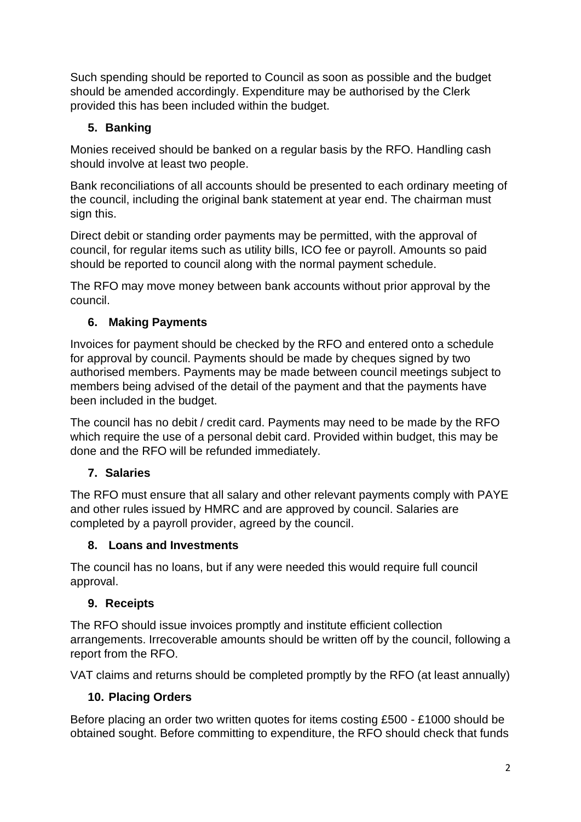Such spending should be reported to Council as soon as possible and the budget should be amended accordingly. Expenditure may be authorised by the Clerk provided this has been included within the budget.

## **5. Banking**

Monies received should be banked on a regular basis by the RFO. Handling cash should involve at least two people.

Bank reconciliations of all accounts should be presented to each ordinary meeting of the council, including the original bank statement at year end. The chairman must sign this.

Direct debit or standing order payments may be permitted, with the approval of council, for regular items such as utility bills, ICO fee or payroll. Amounts so paid should be reported to council along with the normal payment schedule.

The RFO may move money between bank accounts without prior approval by the council.

## **6. Making Payments**

Invoices for payment should be checked by the RFO and entered onto a schedule for approval by council. Payments should be made by cheques signed by two authorised members. Payments may be made between council meetings subject to members being advised of the detail of the payment and that the payments have been included in the budget.

The council has no debit / credit card. Payments may need to be made by the RFO which require the use of a personal debit card. Provided within budget, this may be done and the RFO will be refunded immediately.

# **7. Salaries**

The RFO must ensure that all salary and other relevant payments comply with PAYE and other rules issued by HMRC and are approved by council. Salaries are completed by a payroll provider, agreed by the council.

# **8. Loans and Investments**

The council has no loans, but if any were needed this would require full council approval.

# **9. Receipts**

The RFO should issue invoices promptly and institute efficient collection arrangements. Irrecoverable amounts should be written off by the council, following a report from the RFO.

VAT claims and returns should be completed promptly by the RFO (at least annually)

# **10. Placing Orders**

Before placing an order two written quotes for items costing £500 - £1000 should be obtained sought. Before committing to expenditure, the RFO should check that funds